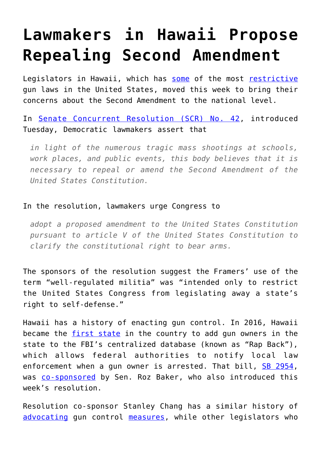## **[Lawmakers in Hawaii Propose](https://intellectualtakeout.org/2019/03/lawmakers-in-hawaii-propose-repealing-second-amendment/) [Repealing Second Amendment](https://intellectualtakeout.org/2019/03/lawmakers-in-hawaii-propose-repealing-second-amendment/)**

Legislators in Hawaii, which has [some](https://www.huffingtonpost.com/entry/hawaii-gun-laws_us_576c94b3e4b0dbb1bbba1e39) of the most [restrictive](https://lawcenter.giffords.org/scorecard/#HI) gun laws in the United States, moved this week to bring their concerns about the Second Amendment to the national level.

In [Senate Concurrent Resolution \(SCR\) No. 42](https://www.capitol.hawaii.gov/session2019/bills/SCR42_.pdf), introduced Tuesday, Democratic lawmakers assert that

*in light of the numerous tragic mass shootings at schools, work places, and public events, this body believes that it is necessary to repeal or amend the Second Amendment of the United States Constitution.*

## In the resolution, lawmakers urge Congress to

*adopt a proposed amendment to the United States Constitution pursuant to article V of the United States Constitution to clarify the constitutional right to bear arms.*

The sponsors of the resolution suggest the Framers' use of the term "well-regulated militia" was "intended only to restrict the United States Congress from legislating away a state's right to self-defense."

Hawaii has a history of enacting gun control. In 2016, Hawaii became the [first state](https://www.cbsnews.com/news/hawaii-fbi-gun-database-legislation-moves-forward/) in the country to add gun owners in the state to the FBI's centralized database (known as "Rap Back"), which allows federal authorities to notify local law enforcement when a gun owner is arrested. That bill, [SB 2954,](https://www.capitol.hawaii.gov/session2016/bills/SB2954_HD1_.htm) was [co-sponsored](https://www.capitol.hawaii.gov/Archives/measure_indiv_Archives.aspx?billtype=SB&billnumber=2954&year=2016) by Sen. Roz Baker, who also introduced this week's resolution.

Resolution co-sponsor Stanley Chang has a similar history of [advocating](https://www.kitv.com/story/37673929/hawaii-lawmakers-take-a-stand-against-federal-concealed-carry-reciprocity-act) gun control [measures,](https://www.capitol.hawaii.gov/measure_indiv.aspx?billtype=SB&billnumber=600&year=2019) while other legislators who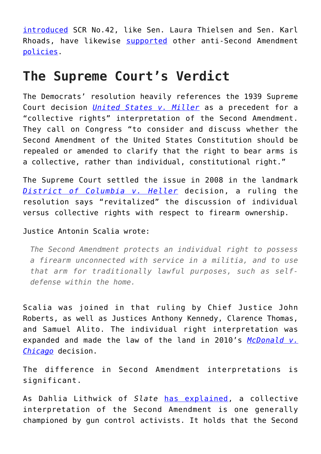[introduced](https://www.capitol.hawaii.gov/measure_indiv.aspx?billtype=SCR&billnumber=42&year=2019) SCR No.42, like Sen. Laura Thielsen and Sen. Karl Rhoads, have likewise [supported](http://www.hawaiinewsnow.com/story/38771482/hawaii-man-challenges-hawaii-stun-gun-ban-on-2nd-amendment-grounds/) other anti-Second Amendment [policies.](https://legiscan.com/HI/bill/SB1334/2019)

## **The Supreme Court's Verdict**

The Democrats' resolution heavily references the 1939 Supreme Court decision *[United States v. Miller](https://www.law.cornell.edu/supremecourt/text/307/174)* as a precedent for a "collective rights" interpretation of the Second Amendment. They call on Congress "to consider and discuss whether the Second Amendment of the United States Constitution should be repealed or amended to clarify that the right to bear arms is a collective, rather than individual, constitutional right."

The Supreme Court settled the issue in 2008 in the landmark *[District of Columbia v. Heller](https://www.supremecourt.gov/opinions/07pdf/07-290.pdf)* decision, a ruling the resolution says "revitalized" the discussion of individual versus collective rights with respect to firearm ownership.

## Justice Antonin Scalia wrote:

*The Second Amendment protects an individual right to possess a firearm unconnected with service in a militia, and to use that arm for traditionally lawful purposes, such as selfdefense within the home.*

Scalia was joined in that ruling by Chief Justice John Roberts, as well as Justices Anthony Kennedy, Clarence Thomas, and Samuel Alito. The individual right interpretation was expanded and made the law of the land in 2010's *[McDonald v.](https://www.oyez.org/cases/2009/08-1521) [Chicago](https://www.oyez.org/cases/2009/08-1521)* decision.

The difference in Second Amendment interpretations is significant.

As Dahlia Lithwick of *Slate* [has explained,](https://slate.com/news-and-politics/2007/11/the-second-amendment-explained.html) a collective interpretation of the Second Amendment is one generally championed by gun control activists. It holds that the Second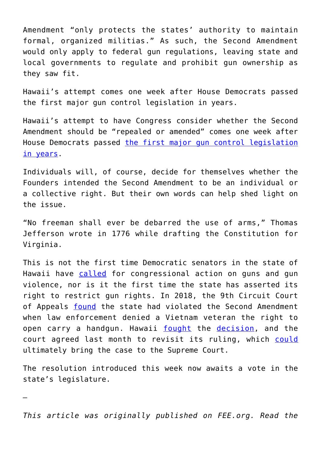Amendment "only protects the states' authority to maintain formal, organized militias." As such, the Second Amendment would only apply to federal gun regulations, leaving state and local governments to regulate and prohibit gun ownership as they saw fit.

Hawaii's attempt comes one week after House Democrats passed the first major gun control legislation in years.

Hawaii's attempt to have Congress consider whether the Second Amendment should be "repealed or amended" comes one week after House Democrats passed [the first major gun control legislation](https://www.usatoday.com/story/news/politics/2019/02/27/gun-control-house-hold-first-major-vote-years/2954526002/) [in years.](https://www.usatoday.com/story/news/politics/2019/02/27/gun-control-house-hold-first-major-vote-years/2954526002/)

Individuals will, of course, decide for themselves whether the Founders intended the Second Amendment to be an individual or a collective right. But their own words can help shed light on the issue.

"No freeman shall ever be debarred the use of arms," Thomas Jefferson wrote in 1776 while drafting the Constitution for Virginia.

This is not the first time Democratic senators in the state of Hawaii have [called](https://www.capitol.hawaii.gov/Archives/measure_indiv_Archives.aspx?billtype=SCR&billnumber=118&year=2018) for congressional action on guns and gun violence, nor is it the first time the state has asserted its right to restrict gun rights. In 2018, the 9th Circuit Court of Appeals [found](https://www.reuters.com/article/us-usa-guns-hawaii/unlikely-pair-could-usher-gun-rights-case-to-u-s-supreme-court-idUSKBN1KT13B) the state had violated the Second Amendment when law enforcement denied a Vietnam veteran the right to open carry a handgun. Hawaii [fought](https://www.staradvertiser.com/2018/09/14/breaking-news/hawaii-appeals-decision-to-allow-guns-in-public/) the [decision,](https://cdn.ca9.uscourts.gov/datastore/opinions/2018/07/24/12-17808.pdf) and the court agreed last month to revisit its ruling, which [could](https://www.reuters.com/article/us-usa-guns-hawaii/unlikely-pair-could-usher-gun-rights-case-to-u-s-supreme-court-idUSKBN1KT13B) ultimately bring the case to the Supreme Court.

The resolution introduced this week now awaits a vote in the state's legislature.

*—*

*This article was originally published on FEE.org. Read the*